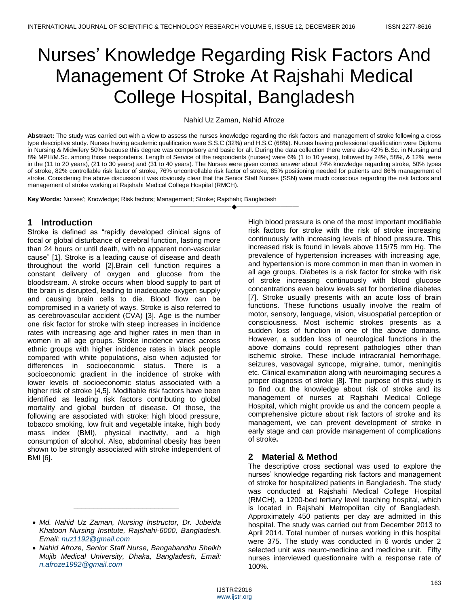# Nurses' Knowledge Regarding Risk Factors And Management Of Stroke At Rajshahi Medical College Hospital, Bangladesh

## Nahid Uz Zaman, Nahid Afroze

**Abstract:** The study was carried out with a view to assess the nurses knowledge regarding the risk factors and management of stroke following a cross type descriptive study. Nurses having academic qualification were S.S.C (32%) and H.S.C (68%). Nurses having professional qualification were Diploma in Nursing & Midwifery 50% because this degree was compulsory and basic for all. During the data collection there were also 42% B.Sc. in Nursing and 8% MPH/M.Sc. among those respondents. Length of Service of the respondents (nurses) were 6% (1 to 10 years), followed by 24%, 58%, & 12% were in the (11 to 20 years), (21 to 30 years) and (31 to 40 years). The Nurses were given correct answer about 74% knowledge regarding stroke, 50% types of stroke, 82% controllable risk factor of stroke, 76% uncontrollable risk factor of stroke, 85% positioning needed for patients and 86% management of stroke. Considering the above discussion it was obviously clear that the Senior Staff Nurses (SSN) were much conscious regarding the risk factors and management of stroke working at Rajshahi Medical College Hospital (RMCH).

————————————————————

**Key Words:** Nurses'; Knowledge; Risk factors; Management; Stroke; Rajshahi; Bangladesh

## **1 Introduction**

Stroke is defined as "rapidly developed clinical signs of focal or global disturbance of cerebral function, lasting more than 24 hours or until death, with no apparent non-vascular cause" [1]. Stroke is a leading cause of disease and death throughout the world [2].Brain cell function requires a constant delivery of oxygen and glucose from the bloodstream. A stroke occurs when blood supply to part of the brain is disrupted, leading to inadequate oxygen supply and causing brain cells to die. Blood flow can be compromised in a variety of ways. Stroke is also referred to as cerebrovascular accident (CVA) [3]. Age is the number one risk factor for stroke with steep increases in incidence rates with increasing age and higher rates in men than in women in all age groups. Stroke incidence varies across ethnic groups with higher incidence rates in black people compared with white populations, also when adjusted for differences in socioeconomic status. There is a socioeconomic gradient in the incidence of stroke with lower levels of socioeconomic status associated with a higher risk of stroke [4,5]. Modifiable risk factors have been identified as leading risk factors contributing to global mortality and global burden of disease. Of those, the following are associated with stroke: high blood pressure, tobacco smoking, low fruit and vegetable intake, high body mass index (BMI), physical inactivity, and a high consumption of alcohol. Also, abdominal obesity has been shown to be strongly associated with stroke independent of BMI [6].

*\_\_\_\_\_\_\_\_\_\_\_\_\_\_\_\_\_\_\_\_\_\_\_\_\_\_*

High blood pressure is one of the most important modifiable risk factors for stroke with the risk of stroke increasing continuously with increasing levels of blood pressure. This increased risk is found in levels above 115/75 mm Hg. The prevalence of hypertension increases with increasing age, and hypertension is more common in men than in women in all age groups. Diabetes is a risk factor for stroke with risk of stroke increasing continuously with blood glucose concentrations even below levels set for borderline diabetes [7]. Stroke usually presents with an acute loss of brain functions. These functions usually involve the realm of motor, sensory, language, vision, visuospatial perception or consciousness. Most ischemic strokes presents as a sudden loss of function in one of the above domains. However, a sudden loss of neurological functions in the above domains could represent pathologies other than ischemic stroke. These include intracranial hemorrhage, seizures, vasovagal syncope, migraine, tumor, meningitis etc. Clinical examination along with neuroimaging secures a proper diagnosis of stroke [8]. The purpose of this study is to find out the knowledge about risk of stroke and its management of nurses at Rajshahi Medical College Hospital, which might provide us and the concern people a comprehensive picture about risk factors of stroke and its management, we can prevent development of stroke in early stage and can provide management of complications of stroke**.**

# **2 Material & Method**

The descriptive cross sectional was used to explore the nurses' knowledge regarding risk factors and management of stroke for hospitalized patients in Bangladesh. The study was conducted at Rajshahi Medical College Hospital (RMCH), a 1200-bed tertiary level teaching hospital, which is located in Rajshahi Metropolitan city of Bangladesh. Approximately 450 patients per day are admitted in this hospital. The study was carried out from December 2013 to April 2014. Total number of nurses working in this hospital were 375. The study was conducted in 6 words under 2 selected unit was neuro-medicine and medicine unit. Fifty nurses interviewed questionnaire with a response rate of 100%.

*Md. Nahid Uz Zaman, Nursing Instructor, Dr. Jubeida Khatoon Nursing Institute, Rajshahi-6000, Bangladesh. Email: [nuz1192@gmail.com](mailto:nuz1192@gmail.com)*

*Nahid Afroze, Senior Staff Nurse, Bangabandhu Sheikh Mujib Medical University, Dhaka, Bangladesh, Email: [n.afroze1992@gmail.com](mailto:n.afroze1992@gmail.com)*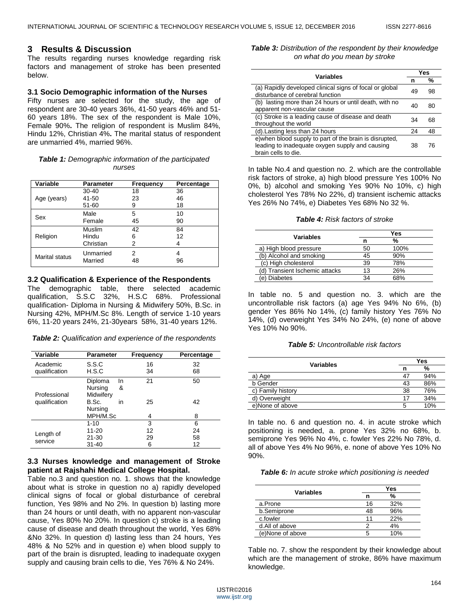## **3 Results & Discussion**

The results regarding nurses knowledge regarding risk factors and management of stroke has been presented below.

#### **3.1 Socio Demographic information of the Nurses**

Fifty nurses are selected for the study, the age of respondent are 30-40 years 36%, 41-50 years 46% and 51- 60 years 18%. The sex of the respondent is Male 10%, Female 90%**.** The religion of respondent is Muslim 84%, Hindu 12%, Christian 4%**.** The marital status of respondent are unmarried 4%, married 96%.

#### *Table 1: Demographic information of the participated nurses*

| Variable              | <b>Parameter</b>     | Frequency | Percentage |
|-----------------------|----------------------|-----------|------------|
|                       | $30 - 40$            | 18        | 36         |
| Age (years)           | 41-50                | 23        | 46         |
|                       | 51-60                | 9         | 18         |
|                       | Male                 | 5         | 10         |
| Sex                   | Female               | 45        | 90         |
|                       | Muslim               | 42        | 84         |
| Religion              | Hindu                | 6         | 12         |
|                       | Christian            | 2         |            |
| <b>Marital status</b> | Unmarried<br>Married | 2<br>48   | 4<br>96    |

#### **3.2 Qualification & Experience of the Respondents**

The demographic table, there selected academic qualification, S.S.C 32%, H.S.C 68%. Professional qualification- Diploma in Nursing & Midwifery 50%, B.Sc. in Nursing 42%, MPH/M.Sc 8%. Length of service 1-10 years 6%, 11-20 years 24%, 21-30years 58%, 31-40 years 12%.

*Table 2: Qualification and experience of the respondents*

| Variable      | <b>Parameter</b>    | Frequency | Percentage |
|---------------|---------------------|-----------|------------|
| Academic      | S.S.C               | 16        | 32         |
| qualification | H.S.C               | 34        | 68         |
|               | Diploma<br>In       | 21        | 50         |
|               | Nursing<br>&        |           |            |
| Professional  | Midwifery           |           |            |
| qualification | B.Sc.<br>in         | 25        | 42         |
|               | Nursing<br>MPH/M.Sc | 4         | 8          |
|               |                     |           |            |
|               | $1 - 10$            | 3         | 6          |
|               | $11 - 20$           | 12        | 24         |
| Length of     | $21 - 30$           | 29        | 58         |
| service       | $31 - 40$           | 6         | 12         |

### **3.3 Nurses knowledge and management of Stroke patient at Rajshahi Medical College Hospital.**

Table no.3 and question no. 1. shows that the knowledge about what is stroke in question no a) rapidly developed clinical signs of focal or global disturbance of cerebral function, Yes 98% and No 2%. In question b) lasting more than 24 hours or until death, with no apparent non-vascular cause, Yes 80% No 20%. In question c) stroke is a leading cause of disease and death throughout the world, Yes 68% &No 32%. In question d) lasting less than 24 hours, Yes 48% & No 52% and in question e) when blood supply to part of the brain is disrupted, leading to inadequate oxygen supply and causing brain cells to die, Yes 76% & No 24%.

*Table 3: Distribution of the respondent by their knowledge on what do you mean by stroke*

| <b>Variables</b>                                                                                                                  |    | Yes |  |
|-----------------------------------------------------------------------------------------------------------------------------------|----|-----|--|
|                                                                                                                                   |    | %   |  |
| (a) Rapidly developed clinical signs of focal or global<br>disturbance of cerebral function                                       | 49 | 98  |  |
| (b) lasting more than 24 hours or until death, with no<br>apparent non-vascular cause                                             | 40 | 80  |  |
| (c) Stroke is a leading cause of disease and death<br>throughout the world                                                        | 34 | 68  |  |
| (d). Lasting less than 24 hours                                                                                                   | 24 | 48  |  |
| e) when blood supply to part of the brain is disrupted,<br>leading to inadequate oxygen supply and causing<br>brain cells to die. | 38 | 76  |  |

In table No.4 and question no. 2. which are the controllable risk factors of stroke, a) high blood pressure Yes 100% No 0%, b) alcohol and smoking Yes 90% No 10%, c) high cholesterol Yes 78% No 22%, d) transient ischemic attacks Yes 26% No 74%, e) Diabetes Yes 68% No 32 %.

#### *Table 4: Risk factors of stroke*

| Variables                      | Yes |      |  |
|--------------------------------|-----|------|--|
|                                | n   | %    |  |
| a) High blood pressure         | 50  | 100% |  |
| (b) Alcohol and smoking        | 45  | 90%  |  |
| (c) High cholesterol           | 39  | 78%  |  |
| (d) Transient Ischemic attacks | 13  | 26%  |  |
| (e) Diabetes                   | 34  | 68%  |  |

In table no. 5 and question no. 3. which are the uncontrollable risk factors (a) age Yes 94% No 6%, (b) gender Yes 86% No 14%, (c) family history Yes 76% No 14%, (d) overweight Yes 34% No 24%, (e) none of above Yes 10% No 90%.

#### *Table 5: Uncontrollable risk factors*

| Variables         | Yes |     |
|-------------------|-----|-----|
|                   | n   | %   |
| Age               | 47  | 94% |
| b Gender          | 43  | 86% |
| c) Family history | 38  | 76% |
| d) Overweight     | 17  | 34% |
| e)None of above   |     | 10% |

In table no. 6 and question no. 4. in acute stroke which positioning is needed, a. prone Yes 32% no 68%, b. semiprone Yes 96% No 4%, c. fowler Yes 22% No 78%, d. all of above Yes 4% No 96%, e. none of above Yes 10% No 90%.

*Table 6: In acute stroke which positioning is needed*

| <b>Variables</b> | Yes |               |  |
|------------------|-----|---------------|--|
|                  | n   | $\frac{0}{0}$ |  |
| a.Prone          | 16  | 32%           |  |
| b.Semiprone      | 48  | 96%           |  |
| c.fowler         | 11  | 22%           |  |
| d.All of above   |     | 4%            |  |
| (e)None of above |     | 10%           |  |

Table no. 7. show the respondent by their knowledge about which are the management of stroke, 86% have maximum knowledge.